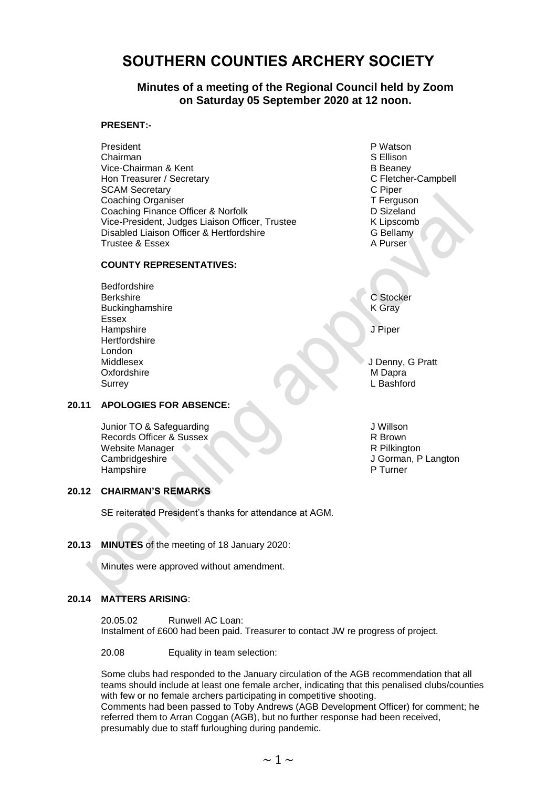# **SOUTHERN COUNTIES ARCHERY SOCIETY**

# **Minutes of a meeting of the Regional Council held by Zoom on Saturday 05 September 2020 at 12 noon.**

#### **PRESENT:-**

President PWatson P Watson Chairman S Ellison Vice-Chairman & Kent<br>
Hon Treasurer / Secretary<br>
Hon Treasurer / Secretary<br>
B Beaney<br>
C Fletcher-Campbell Hon Treasurer / Secretary **C** Fletcher-Campbell C Fletcher-Campbell C Fletcher-Campbell C Piper-Campbell C Piper SCAM Secretary **SCAM Secretary C** Piper<br>
C Piper<br>
Coaching Organiser Coaching Organiser<br>Coaching Finance Officer & Norfolk<br>D Sizeland Coaching Finance Officer & Norfolk<br>
Vice-President, Judges Liaison Officer, Trustee<br>
K Lipscomb Vice-President, Judges Liaison Officer, Trustee Disabled Liaison Officer & Hertfordshire G Bellamy Trustee & Essex A Purser

# **COUNTY REPRESENTATIVES:**

Bedfordshire Berkshire C Stocker Buckinghamshire K Gray Essex Hampshire Julian School and The Contract of the United States of the United States of the United States of the U **Hertfordshire** London Middlesex J Denny, G Pratt Oxfordshire MDapra Surrey L Bashford

## **20.11 APOLOGIES FOR ABSENCE:**

Junior TO & Safeguarding Junior TO & Safeguarding Junior TO & Safeguarding Junior Seconds of the Subset of the Subset of the Subset of the Subset of the Subset of the Subset of the Subset of the Subset of the Subset of the Records Officer & Sussex R Brown<br>Website Manager R Brown<br>R Pilkington Website Manager Cambridgeshire J Gorman, P Langton<br>Hampshire P Turner Hampshire

# **20.12 CHAIRMAN'S REMARKS**

SE reiterated President's thanks for attendance at AGM.

## **20.13 MINUTES** of the meeting of 18 January 2020:

Minutes were approved without amendment.

## **20.14 MATTERS ARISING**:

20.05.02 Runwell AC Loan: Instalment of £600 had been paid. Treasurer to contact JW re progress of project.

20.08 Equality in team selection:

Some clubs had responded to the January circulation of the AGB recommendation that all teams should include at least one female archer, indicating that this penalised clubs/counties with few or no female archers participating in competitive shooting. Comments had been passed to Toby Andrews (AGB Development Officer) for comment; he referred them to Arran Coggan (AGB), but no further response had been received, presumably due to staff furloughing during pandemic.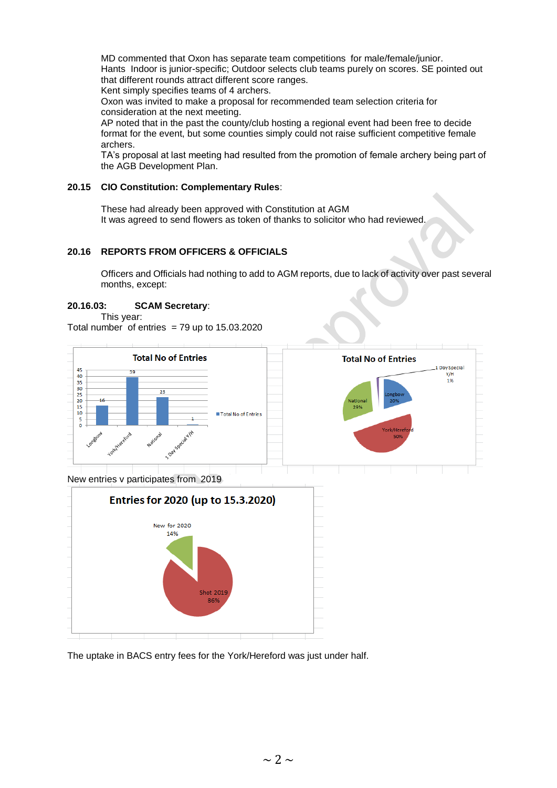MD commented that Oxon has separate team competitions for male/female/junior. Hants Indoor is junior-specific; Outdoor selects club teams purely on scores. SE pointed out that different rounds attract different score ranges. Kent simply specifies teams of 4 archers.

Oxon was invited to make a proposal for recommended team selection criteria for consideration at the next meeting.

AP noted that in the past the county/club hosting a regional event had been free to decide format for the event, but some counties simply could not raise sufficient competitive female archers.

TA's proposal at last meeting had resulted from the promotion of female archery being part of the AGB Development Plan.

## **20.15 CIO Constitution: Complementary Rules**:

These had already been approved with Constitution at AGM It was agreed to send flowers as token of thanks to solicitor who had reviewed.

# **20.16 REPORTS FROM OFFICERS & OFFICIALS**

Officers and Officials had nothing to add to AGM reports, due to lack of activity over past several months, except:

# **20.16.03: SCAM Secretary**:

This year:

Total number of entries  $= 79$  up to 15.03.2020



The uptake in BACS entry fees for the York/Hereford was just under half.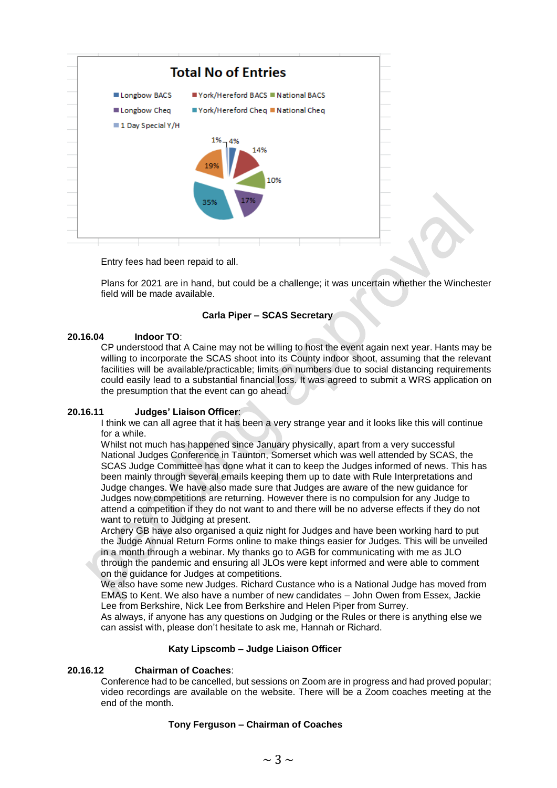

Entry fees had been repaid to all.

Plans for 2021 are in hand, but could be a challenge; it was uncertain whether the Winchester field will be made available.

# **Carla Piper – SCAS Secretary**

## **20.16.04 Indoor TO**:

CP understood that A Caine may not be willing to host the event again next year. Hants may be willing to incorporate the SCAS shoot into its County indoor shoot, assuming that the relevant facilities will be available/practicable; limits on numbers due to social distancing requirements could easily lead to a substantial financial loss. It was agreed to submit a WRS application on the presumption that the event can go ahead.

## **20.16.11 Judges' Liaison Officer**:

I think we can all agree that it has been a very strange year and it looks like this will continue for a while.

Whilst not much has happened since January physically, apart from a very successful National Judges Conference in Taunton, Somerset which was well attended by SCAS, the SCAS Judge Committee has done what it can to keep the Judges informed of news. This has been mainly through several emails keeping them up to date with Rule Interpretations and Judge changes. We have also made sure that Judges are aware of the new guidance for Judges now competitions are returning. However there is no compulsion for any Judge to attend a competition if they do not want to and there will be no adverse effects if they do not want to return to Judging at present.

Archery GB have also organised a quiz night for Judges and have been working hard to put the Judge Annual Return Forms online to make things easier for Judges. This will be unveiled in a month through a webinar. My thanks go to AGB for communicating with me as JLO through the pandemic and ensuring all JLOs were kept informed and were able to comment on the guidance for Judges at competitions.

We also have some new Judges. Richard Custance who is a National Judge has moved from EMAS to Kent. We also have a number of new candidates – John Owen from Essex, Jackie Lee from Berkshire, Nick Lee from Berkshire and Helen Piper from Surrey.

As always, if anyone has any questions on Judging or the Rules or there is anything else we can assist with, please don't hesitate to ask me, Hannah or Richard.

#### **Katy Lipscomb – Judge Liaison Officer**

## **20.16.12 Chairman of Coaches**:

Conference had to be cancelled, but sessions on Zoom are in progress and had proved popular; video recordings are available on the website. There will be a Zoom coaches meeting at the end of the month.

#### **Tony Ferguson – Chairman of Coaches**